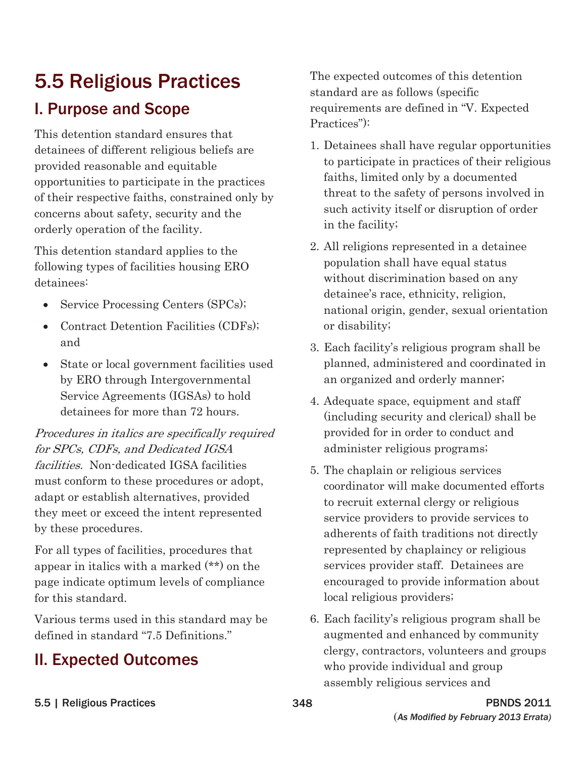This detention standard ensures that opportunities to participate in the practices<br>of the safety of persons involved in<br>threat to the safety of persons involved in of their respective faiths, constrained only by such activity itself or disruption of order concerns about safety, security and the orderly operation of the facility.  $\qquad \qquad$  in the facility;

population shall have equal status following types of facilities housing ERO

- 
- Contract Detention Facilities (CDFs); or disability;
- by ERO through Intergovernmental an organized and orderly manner; Service Agreements (IGSAs) to hold 4. Adequate space, equipment and staff<br>detainees for more than 72 hours. (including a servite and shaired) shall

Procedures in italics are specifically required provided for in order to conduct and for SPCs, CDFs, and Dedicated IGSA administer religious programs; facilities. Non-dedicated IGSA facilities 5. The chaplain or religious services must conform to these procedures or adopt, coordinator will make documented efforts adapt or establish alternatives, provided to recruit external clergy or religious they meet or exceed the intent represented<br>by these procedures.

For all types of facilities, procedures that represented by chaplaincy or religious appear in italics with a marked  $(**)$  on the services provider staff. Detainees are page indicate optimum levels of compliance encouraged to provide information about for this standard. local religious providers;

Various terms used in this standard may be 6. Each facility's religious program shall be defined in standard "7.5 Definitions." augmented and enhanced by community

5.5 Religious Practices The expected outcomes of this detention standard are as follows (specific **I. Purpose and Scope** requirements are defined in "V. Expected Practices"):

- detainees of different religious beliefs are  $\qquad 1.$  Detainees shall have regular opportunities provided reasonable and equitable to participate in practices of their religious provided reasonable and equitable to precise the process of their religious faiths, limited only by a documented
- This detention standard applies to the  $\qquad \qquad 2.$  All religions represented in a detainee detainees:<br>
detainees:<br>
detainee's race, ethnicity, religion,  $\bullet$  Service Processing Centers (SPCs); national origin, gender, sexual orientation
	- and 3. Each facility's religious program shall be • State or local government facilities used planned, administered and coordinated in
		- (including security and clerical) shall be
		- adherents of faith traditions not directly
- **II. Expected Outcomes** elergy, contractors, volunteers and groups elergy contractors, volunteers and groups who provide individual and group assembly religious services and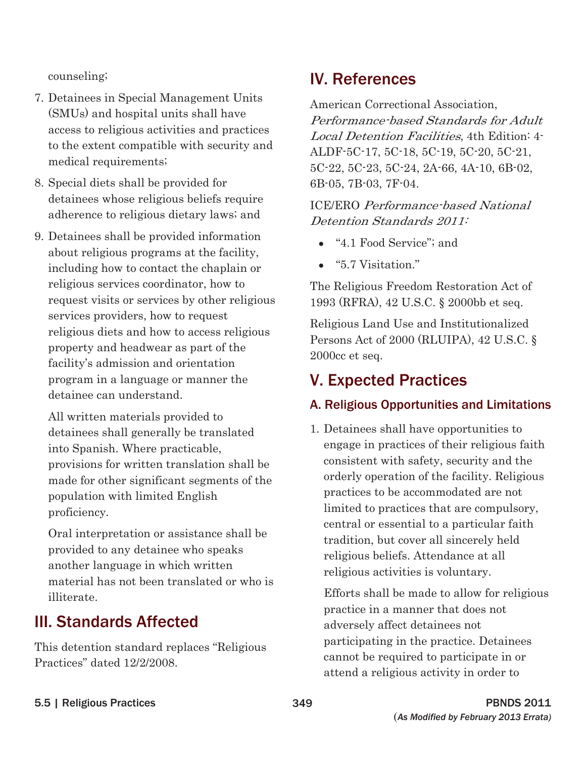counseling;

- 7. Detainees in Special Management Units (SMUs) and hospital units shall have access to religious activities and practices to the extent compatible with security and medical requirements;
- 8. Special diets shall be provided for detainees whose religious beliefs require adherence to religious dietary laws; and
- 9. Detainees shall be provided information about religious programs at the facility, including how to contact the chaplain or religious services coordinator, how to request visits or services by other religious services providers, how to request religious diets and how to access religious property and headwear as part of the facility's admission and orientation program in a language or manner the detainee can understand.

All written materials provided to detainees shall generally be translated into Spanish. Where practicable, provisions for written translation shall be made for other significant segments of the population with limited English proficiency.

Oral interpretation or assistance shall be provided to any detainee who speaks another language in which written material has not been translated or who is illiterate.

# III. Standards Affected

This detention standard replaces "Religious Practices" dated 12/2/2008.

# IV. References

American Correctional Association, Performance-based Standards for Adult Local Detention Facilities, 4th Edition: 4 ALDF-5C-17, 5C-18, 5C-19, 5C-20, 5C-21, 5C-22, 5C-23, 5C-24, 2A-66, 4A-10, 6B-02, 6B-05, 7B-03, 7F-04.

 Detention Standards 2011: ICE/ERO Performance-based National

- "4.1 Food Service"; and
- $\bullet$  "5.7 Visitation."

The Religious Freedom Restoration Act of 1993 (RFRA), 42 U.S.C. § 2000bb et seq.

Religious Land Use and Institutionalized Persons Act of 2000 (RLUIPA), 42 U.S.C. § 2000cc et seq.

# V. Expected Practices

### A. Religious Opportunities and Limitations

1. Detainees shall have opportunities to engage in practices of their religious faith consistent with safety, security and the orderly operation of the facility. Religious practices to be accommodated are not limited to practices that are compulsory, central or essential to a particular faith tradition, but cover all sincerely held religious beliefs. Attendance at all religious activities is voluntary.

Efforts shall be made to allow for religious practice in a manner that does not adversely affect detainees not participating in the practice. Detainees cannot be required to participate in or attend a religious activity in order to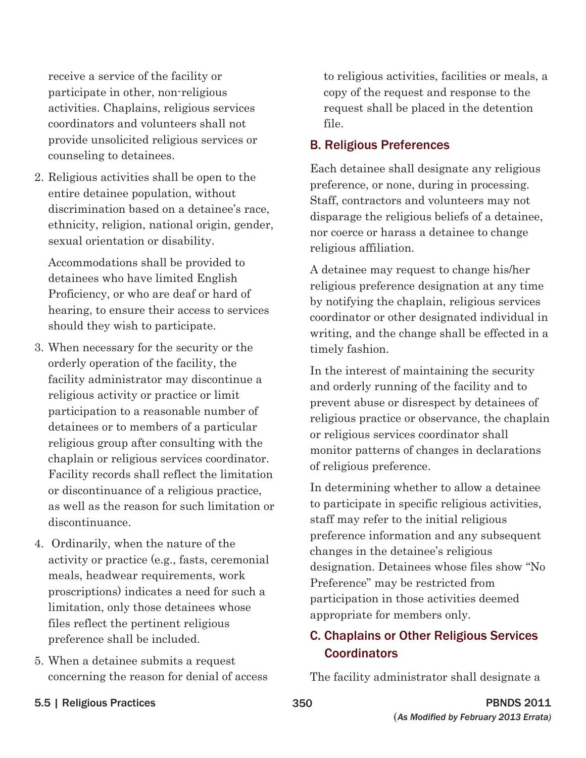receive a service of the facility or participate in other, non-religious activities. Chaplains, religious services coordinators and volunteers shall not provide unsolicited religious services or counseling to detainees.

2. Religious activities shall be open to the entire detainee population, without discrimination based on a detainee's race, ethnicity, religion, national origin, gender, sexual orientation or disability.

Accommodations shall be provided to detainees who have limited English Proficiency, or who are deaf or hard of hearing, to ensure their access to services should they wish to participate.

- 3. When necessary for the security or the orderly operation of the facility, the facility administrator may discontinue a religious activity or practice or limit participation to a reasonable number of detainees or to members of a particular religious group after consulting with the chaplain or religious services coordinator. Facility records shall reflect the limitation or discontinuance of a religious practice, as well as the reason for such limitation or discontinuance.
- 4. Ordinarily, when the nature of the activity or practice (e.g., fasts, ceremonial meals, headwear requirements, work proscriptions) indicates a need for such a limitation, only those detainees whose files reflect the pertinent religious preference shall be included.
- 5. When a detainee submits a request concerning the reason for denial of access

to religious activities, facilities or meals, a copy of the request and response to the request shall be placed in the detention file.

#### B. Religious Preferences

Each detainee shall designate any religious preference, or none, during in processing. Staff, contractors and volunteers may not disparage the religious beliefs of a detainee, nor coerce or harass a detainee to change religious affiliation.

A detainee may request to change his/her religious preference designation at any time by notifying the chaplain, religious services coordinator or other designated individual in writing, and the change shall be effected in a timely fashion.

In the interest of maintaining the security and orderly running of the facility and to prevent abuse or disrespect by detainees of religious practice or observance, the chaplain or religious services coordinator shall monitor patterns of changes in declarations of religious preference.

In determining whether to allow a detainee to participate in specific religious activities, staff may refer to the initial religious preference information and any subsequent changes in the detainee's religious designation. Detainees whose files show "No Preference" may be restricted from participation in those activities deemed appropriate for members only.

#### C. Chaplains or Other Religious Services **Coordinators**

The facility administrator shall designate a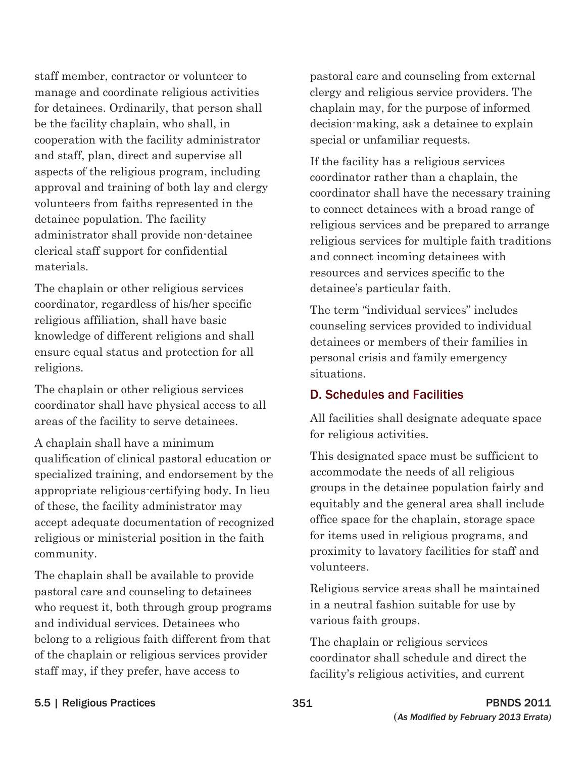staff member, contractor or volunteer to manage and coordinate religious activities for detainees. Ordinarily, that person shall be the facility chaplain, who shall, in cooperation with the facility administrator and staff, plan, direct and supervise all aspects of the religious program, including approval and training of both lay and clergy volunteers from faiths represented in the detainee population. The facility administrator shall provide non-detainee clerical staff support for confidential materials.

The chaplain or other religious services coordinator, regardless of his/her specific religious affiliation, shall have basic knowledge of different religions and shall ensure equal status and protection for all religions.

The chaplain or other religious services coordinator shall have physical access to all areas of the facility to serve detainees.

A chaplain shall have a minimum qualification of clinical pastoral education or specialized training, and endorsement by the appropriate religious-certifying body. In lieu of these, the facility administrator may accept adequate documentation of recognized religious or ministerial position in the faith community.

The chaplain shall be available to provide pastoral care and counseling to detainees who request it, both through group programs and individual services. Detainees who belong to a religious faith different from that of the chaplain or religious services provider staff may, if they prefer, have access to

pastoral care and counseling from external clergy and religious service providers. The chaplain may, for the purpose of informed decision-making, ask a detainee to explain special or unfamiliar requests.

If the facility has a religious services coordinator rather than a chaplain, the coordinator shall have the necessary training to connect detainees with a broad range of religious services and be prepared to arrange religious services for multiple faith traditions and connect incoming detainees with resources and services specific to the detainee's particular faith.

The term "individual services" includes counseling services provided to individual detainees or members of their families in personal crisis and family emergency situations.

#### D. Schedules and Facilities

All facilities shall designate adequate space for religious activities.

This designated space must be sufficient to accommodate the needs of all religious groups in the detainee population fairly and equitably and the general area shall include office space for the chaplain, storage space for items used in religious programs, and proximity to lavatory facilities for staff and volunteers.

Religious service areas shall be maintained in a neutral fashion suitable for use by various faith groups.

The chaplain or religious services coordinator shall schedule and direct the facility's religious activities, and current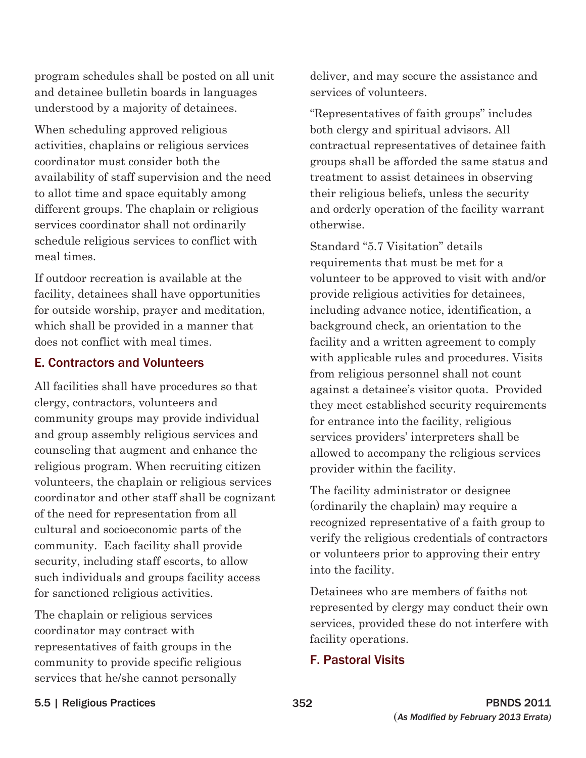program schedules shall be posted on all unit and detainee bulletin boards in languages understood by a majority of detainees.

When scheduling approved religious activities, chaplains or religious services coordinator must consider both the availability of staff supervision and the need to allot time and space equitably among different groups. The chaplain or religious services coordinator shall not ordinarily schedule religious services to conflict with meal times.

If outdoor recreation is available at the facility, detainees shall have opportunities for outside worship, prayer and meditation, which shall be provided in a manner that does not conflict with meal times.

#### E. Contractors and Volunteers

All facilities shall have procedures so that clergy, contractors, volunteers and community groups may provide individual and group assembly religious services and counseling that augment and enhance the religious program. When recruiting citizen volunteers, the chaplain or religious services coordinator and other staff shall be cognizant of the need for representation from all cultural and socioeconomic parts of the community. Each facility shall provide security, including staff escorts, to allow such individuals and groups facility access for sanctioned religious activities.

The chaplain or religious services coordinator may contract with representatives of faith groups in the community to provide specific religious services that he/she cannot personally

deliver, and may secure the assistance and services of volunteers.

"Representatives of faith groups" includes both clergy and spiritual advisors. All contractual representatives of detainee faith groups shall be afforded the same status and treatment to assist detainees in observing their religious beliefs, unless the security and orderly operation of the facility warrant otherwise.

Standard "5.7 Visitation" details requirements that must be met for a volunteer to be approved to visit with and/or provide religious activities for detainees, including advance notice, identification, a background check, an orientation to the facility and a written agreement to comply with applicable rules and procedures. Visits from religious personnel shall not count against a detainee's visitor quota. Provided they meet established security requirements for entrance into the facility, religious services providers' interpreters shall be allowed to accompany the religious services provider within the facility.

The facility administrator or designee (ordinarily the chaplain) may require a recognized representative of a faith group to verify the religious credentials of contractors or volunteers prior to approving their entry into the facility.

Detainees who are members of faiths not represented by clergy may conduct their own services, provided these do not interfere with facility operations.

#### F. Pastoral Visits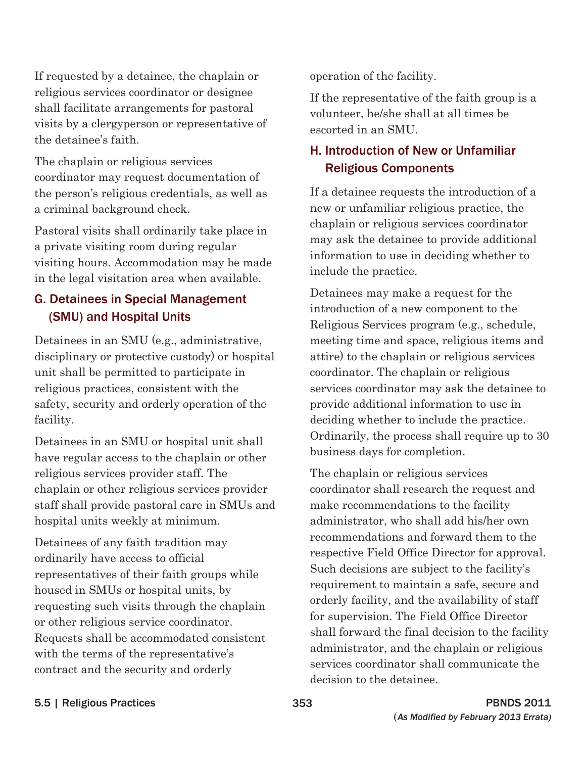If requested by a detainee, the chaplain or operation of the facility. religious services coordinator or designee<br>
shall facilitate arrangements for pastoral<br>
visits by a clergyperson or representative of<br>
escorted in an SMU. the detainee's faith.

The chaplain or religious services<br>
coordinator may request documentation of **Religious Components** the person's religious credentials, as well as If a detainee requests the introduction of a a criminal background check. he new or unfamiliar religious practice, the

Pastoral visits shall ordinarily take place in<br>a private visiting room during regular may ask the detainee to provide additional<br>visiting hours. Accommodation may be made<br>in the legal visitation area when available.<br>includ

Detainees in an SMU (e.g., administrative, meeting time and space, religious items and disciplinary or protective custody) or hospital attire) to the chaplain or religious services unit shall be permitted to participate in coordinator. The chaplain or religious religious practices, consistent with the services coordinator may ask the detainee to safety, security and orderly operation of the provide additional information to use in facility. deciding whether to include the practice.

Detainees in an SMU or hospital unit shall correction.<br>  $\frac{1}{2}$  Ordinarily, the process shall require up to 30 business days for completion. religious services provider staff. The The chaplain or religious services chaplain or other religious services provider coordinator shall research the request and staff shall provide pastoral care in SMUs and make recommendations to the facility hospital units weekly at minimum. administrator, who shall add his/her own

# H. Introduction of New or Unfamiliar

**G. Detainees in Special Management** Detainees may make a request for the<br>(SMU) and Hospital Units introduction of a new component to the Religious Services program (e.g., schedule,

Detainees of any faith tradition may<br>
ordinarily have access to official<br>
representatives of their faith groups while<br>
housed in SMUs or hospital units, by<br>
requesting such visits through the chaplain<br>
requesting such visi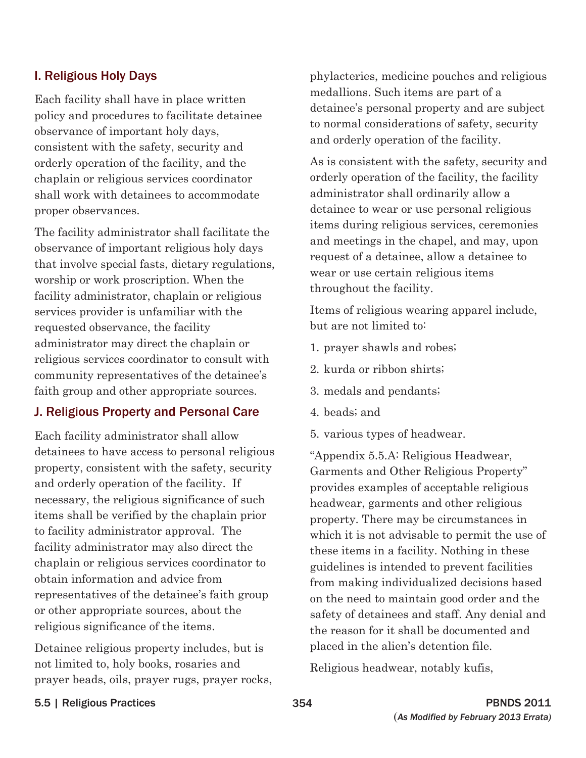#### I. Religious Holy Days

Each facility shall have in place written policy and procedures to facilitate detainee observance of important holy days, consistent with the safety, security and orderly operation of the facility, and the chaplain or religious services coordinator shall work with detainees to accommodate proper observances.

The facility administrator shall facilitate the observance of important religious holy days that involve special fasts, dietary regulations, worship or work proscription. When the facility administrator, chaplain or religious services provider is unfamiliar with the requested observance, the facility administrator may direct the chaplain or religious services coordinator to consult with community representatives of the detainee's faith group and other appropriate sources.

#### J. Religious Property and Personal Care

Each facility administrator shall allow detainees to have access to personal religious property, consistent with the safety, security and orderly operation of the facility. If necessary, the religious significance of such items shall be verified by the chaplain prior to facility administrator approval. The facility administrator may also direct the chaplain or religious services coordinator to obtain information and advice from representatives of the detainee's faith group or other appropriate sources, about the religious significance of the items.

Detainee religious property includes, but is not limited to, holy books, rosaries and prayer beads, oils, prayer rugs, prayer rocks, phylacteries, medicine pouches and religious medallions. Such items are part of a detainee's personal property and are subject to normal considerations of safety, security and orderly operation of the facility.

As is consistent with the safety, security and orderly operation of the facility, the facility administrator shall ordinarily allow a detainee to wear or use personal religious items during religious services, ceremonies and meetings in the chapel, and may, upon request of a detainee, allow a detainee to wear or use certain religious items throughout the facility.

Items of religious wearing apparel include, but are not limited to:

- 1. prayer shawls and robes;
- 2. kurda or ribbon shirts;
- 3. medals and pendants;
- 4. beads; and
- 5. various types of headwear.

"Appendix 5.5.A: Religious Headwear, Garments and Other Religious Property" provides examples of acceptable religious headwear, garments and other religious property. There may be circumstances in which it is not advisable to permit the use of these items in a facility. Nothing in these guidelines is intended to prevent facilities from making individualized decisions based on the need to maintain good order and the safety of detainees and staff. Any denial and the reason for it shall be documented and placed in the alien's detention file.

Religious headwear, notably kufis,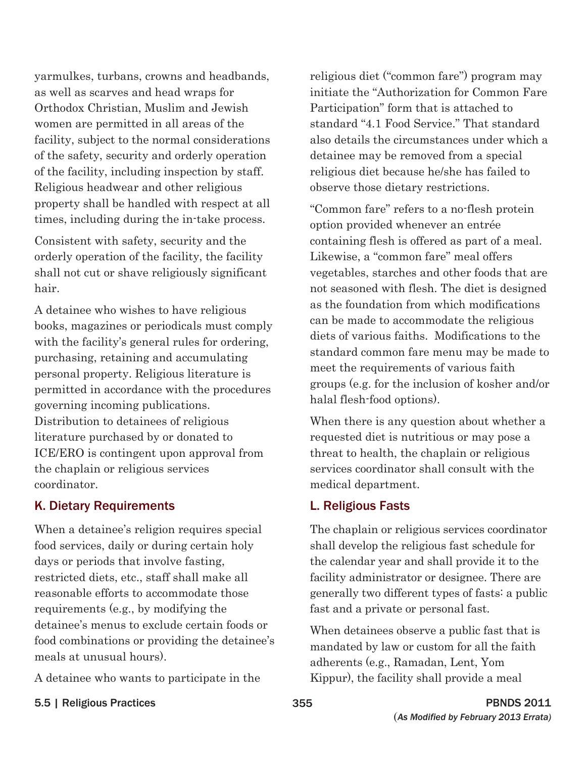yarmulkes, turbans, crowns and headbands, as well as scarves and head wraps for Orthodox Christian, Muslim and Jewish women are permitted in all areas of the facility, subject to the normal considerations of the safety, security and orderly operation of the facility, including inspection by staff. Religious headwear and other religious property shall be handled with respect at all times, including during the in-take process.

Consistent with safety, security and the orderly operation of the facility, the facility shall not cut or shave religiously significant hair.

A detainee who wishes to have religious books, magazines or periodicals must comply with the facility's general rules for ordering, purchasing, retaining and accumulating personal property. Religious literature is permitted in accordance with the procedures governing incoming publications. Distribution to detainees of religious literature purchased by or donated to ICE/ERO is contingent upon approval from the chaplain or religious services coordinator.

#### K. Dietary Requirements

When a detainee's religion requires special food services, daily or during certain holy days or periods that involve fasting, restricted diets, etc., staff shall make all reasonable efforts to accommodate those requirements (e.g., by modifying the detainee's menus to exclude certain foods or food combinations or providing the detainee's meals at unusual hours).

A detainee who wants to participate in the

religious diet ("common fare") program may initiate the "Authorization for Common Fare Participation" form that is attached to standard "4.1 Food Service." That standard also details the circumstances under which a detainee may be removed from a special religious diet because he/she has failed to observe those dietary restrictions.

"Common fare" refers to a no-flesh protein option provided whenever an entrée containing flesh is offered as part of a meal. Likewise, a "common fare" meal offers vegetables, starches and other foods that are not seasoned with flesh. The diet is designed as the foundation from which modifications can be made to accommodate the religious diets of various faiths. Modifications to the standard common fare menu may be made to meet the requirements of various faith groups (e.g. for the inclusion of kosher and/or halal flesh-food options).

When there is any question about whether a requested diet is nutritious or may pose a threat to health, the chaplain or religious services coordinator shall consult with the medical department.

#### L. Religious Fasts

The chaplain or religious services coordinator shall develop the religious fast schedule for the calendar year and shall provide it to the facility administrator or designee. There are generally two different types of fasts: a public fast and a private or personal fast.

When detainees observe a public fast that is mandated by law or custom for all the faith adherents (e.g., Ramadan, Lent, Yom Kippur), the facility shall provide a meal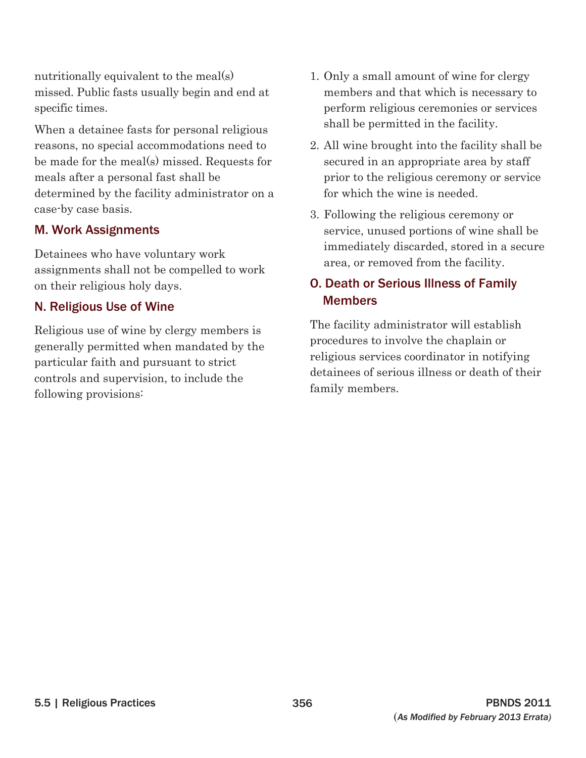nutritionally equivalent to the meal(s) missed. Public fasts usually begin and end at specific times.

When a detainee fasts for personal religious reasons, no special accommodations need to be made for the meal(s) missed. Requests for meals after a personal fast shall be determined by the facility administrator on a case-by case basis.

#### M. Work Assignments

Detainees who have voluntary work assignments shall not be compelled to work on their religious holy days.

#### N. Religious Use of Wine

Religious use of wine by clergy members is generally permitted when mandated by the particular faith and pursuant to strict controls and supervision, to include the following provisions:

- shall be permitted in the facility. 1. Only a small amount of wine for clergy members and that which is necessary to perform religious ceremonies or services
- 2. All wine brought into the facility shall be secured in an appropriate area by staff prior to the religious ceremony or service for which the wine is needed.
- 3. Following the religious ceremony or service, unused portions of wine shall be immediately discarded, stored in a secure area, or removed from the facility.

### O. Death or Serious Illness of Family **Members**

The facility administrator will establish procedures to involve the chaplain or religious services coordinator in notifying detainees of serious illness or death of their family members.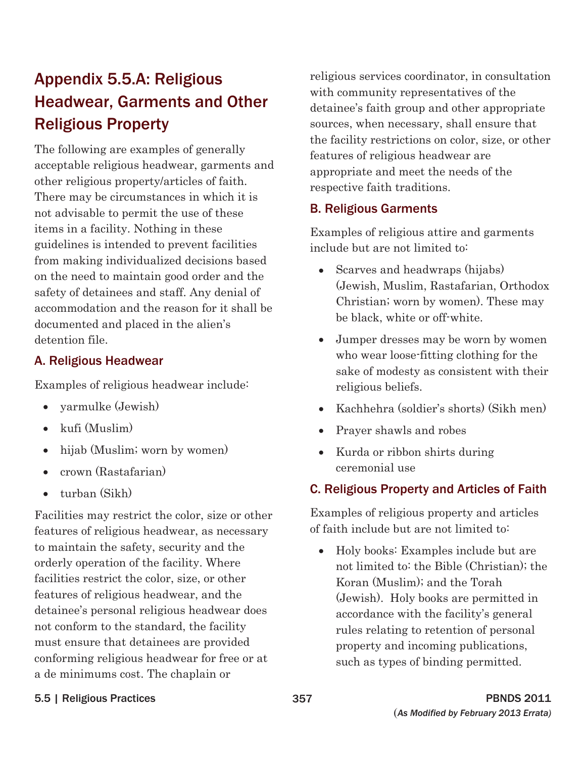# Appendix 5.5.A: Religious Headwear, Garments and Other Religious Property

The following are examples of generally acceptable religious headwear, garments and other religious property/articles of faith. There may be circumstances in which it is not advisable to permit the use of these items in a facility. Nothing in these guidelines is intended to prevent facilities from making individualized decisions based on the need to maintain good order and the safety of detainees and staff. Any denial of accommodation and the reason for it shall be documented and placed in the alien's detention file.

#### A. Religious Headwear

Examples of religious headwear include:

- $\bullet$  yarmulke (Jewish)
- $\bullet$  kufi (Muslim)
- $\bullet$  hijab (Muslim; worn by women)
- $\bullet$  crown (Rastafarian)
- $\bullet$  turban (Sikh)

Facilities may restrict the color, size or other features of religious headwear, as necessary to maintain the safety, security and the orderly operation of the facility. Where facilities restrict the color, size, or other features of religious headwear, and the detainee's personal religious headwear does not conform to the standard, the facility must ensure that detainees are provided conforming religious headwear for free or at a de minimums cost. The chaplain or

religious services coordinator, in consultation with community representatives of the detainee's faith group and other appropriate sources, when necessary, shall ensure that the facility restrictions on color, size, or other features of religious headwear are appropriate and meet the needs of the respective faith traditions.

#### B. Religious Garments

Examples of religious attire and garments include but are not limited to:

- Scarves and headwraps (hijabs) (Jewish, Muslim, Rastafarian, Orthodox Christian; worn by women). These may be black, white or off-white.
- Jumper dresses may be worn by women who wear loose-fitting clothing for the sake of modesty as consistent with their religious beliefs.
- x Kachhehra (soldier's shorts) (Sikh men)
- Prayer shawls and robes
- Kurda or ribbon shirts during ceremonial use

### C. Religious Property and Articles of Faith

Examples of religious property and articles of faith include but are not limited to:

 $\bullet$  Holy books: Examples include but are not limited to: the Bible (Christian); the Koran (Muslim); and the Torah (Jewish). Holy books are permitted in accordance with the facility's general rules relating to retention of personal property and incoming publications, such as types of binding permitted.

#### 5.5 | Religious Practices 357 PBNDS 2011